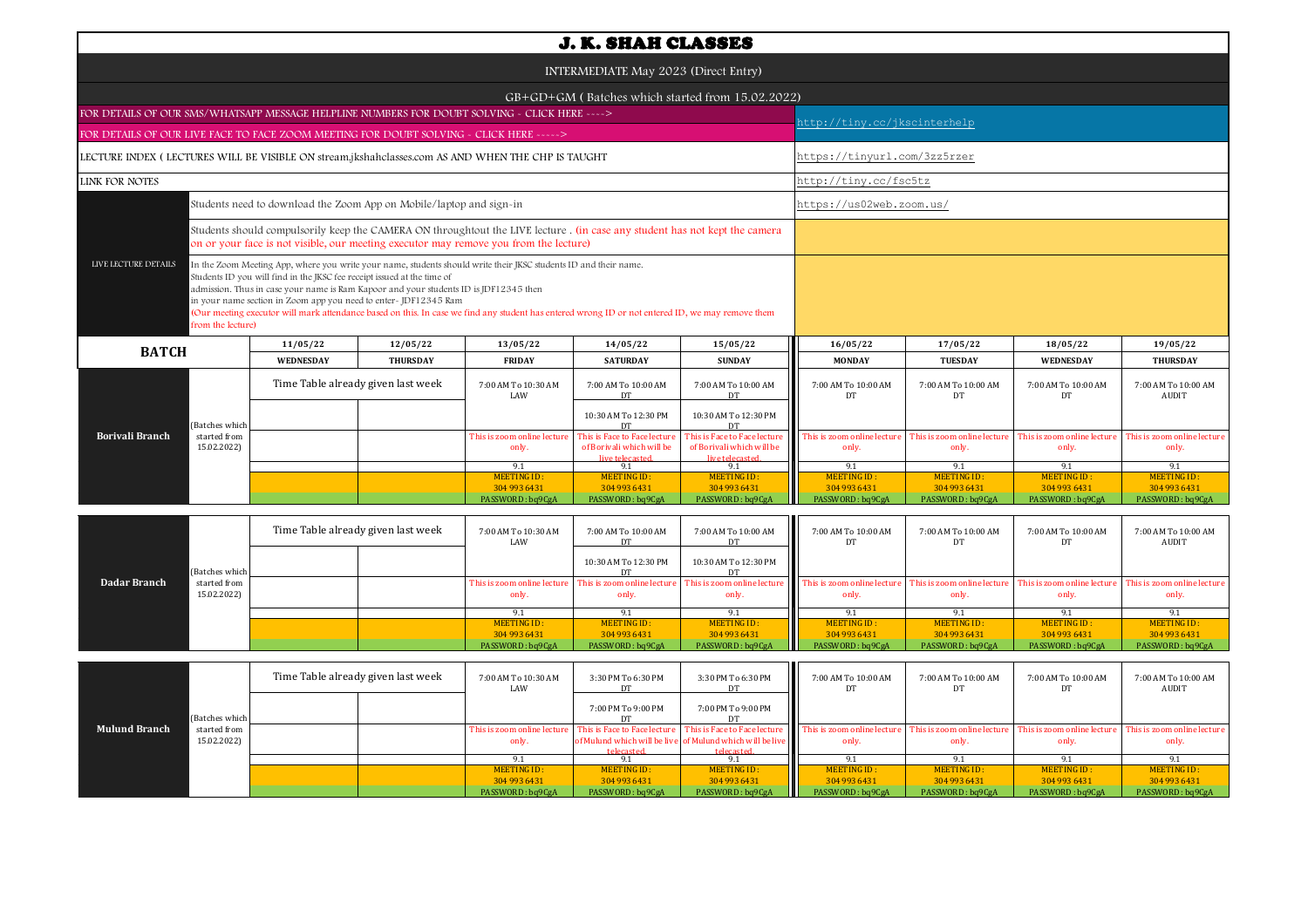|                                                                                                                                                                                                                                                                                                                                                                                                                                                                                                                                                          |                             |                                    |                                    |                                                                                                                                                                                                                      | <b>J. K. SHAH CLASSES</b>                                                    |                                                                              |                                      |                                      |                                      |                                      |
|----------------------------------------------------------------------------------------------------------------------------------------------------------------------------------------------------------------------------------------------------------------------------------------------------------------------------------------------------------------------------------------------------------------------------------------------------------------------------------------------------------------------------------------------------------|-----------------------------|------------------------------------|------------------------------------|----------------------------------------------------------------------------------------------------------------------------------------------------------------------------------------------------------------------|------------------------------------------------------------------------------|------------------------------------------------------------------------------|--------------------------------------|--------------------------------------|--------------------------------------|--------------------------------------|
|                                                                                                                                                                                                                                                                                                                                                                                                                                                                                                                                                          |                             |                                    |                                    |                                                                                                                                                                                                                      | INTERMEDIATE May 2023 (Direct Entry)                                         |                                                                              |                                      |                                      |                                      |                                      |
|                                                                                                                                                                                                                                                                                                                                                                                                                                                                                                                                                          |                             |                                    |                                    |                                                                                                                                                                                                                      |                                                                              |                                                                              |                                      |                                      |                                      |                                      |
|                                                                                                                                                                                                                                                                                                                                                                                                                                                                                                                                                          |                             |                                    |                                    |                                                                                                                                                                                                                      |                                                                              | GB+GD+GM (Batches which started from 15.02.2022)                             |                                      |                                      |                                      |                                      |
| FOR DETAILS OF OUR SMS/WHATSAPP MESSAGE HELPLINE NUMBERS FOR DOUBT SOLVING - CLICK HERE ---->                                                                                                                                                                                                                                                                                                                                                                                                                                                            |                             |                                    |                                    |                                                                                                                                                                                                                      |                                                                              |                                                                              | http://tiny.cc/jkscinterhelp         |                                      |                                      |                                      |
| FOR DETAILS OF OUR LIVE FACE TO FACE ZOOM MEETING FOR DOUBT SOLVING - CLICK HERE ----->                                                                                                                                                                                                                                                                                                                                                                                                                                                                  |                             |                                    |                                    |                                                                                                                                                                                                                      |                                                                              |                                                                              |                                      |                                      |                                      |                                      |
| LECTURE INDEX (LECTURES WILL BE VISIBLE ON stream.jkshahclasses.com AS AND WHEN THE CHP IS TAUGHT                                                                                                                                                                                                                                                                                                                                                                                                                                                        |                             |                                    |                                    |                                                                                                                                                                                                                      |                                                                              |                                                                              | https://tinyurl.com/3zz5rzer         |                                      |                                      |                                      |
| LINK FOR NOTES                                                                                                                                                                                                                                                                                                                                                                                                                                                                                                                                           |                             |                                    |                                    |                                                                                                                                                                                                                      |                                                                              |                                                                              | http://tiny.cc/fsc5tz                |                                      |                                      |                                      |
| https://us02web.zoom.us/<br>Students need to download the Zoom App on Mobile/laptop and sign-in                                                                                                                                                                                                                                                                                                                                                                                                                                                          |                             |                                    |                                    |                                                                                                                                                                                                                      |                                                                              |                                                                              |                                      |                                      |                                      |                                      |
|                                                                                                                                                                                                                                                                                                                                                                                                                                                                                                                                                          |                             |                                    |                                    | Students should compulsorily keep the CAMERA ON throughtout the LIVE lecture . (in case any student has not kept the camera<br>on or your face is not visible, our meeting executor may remove you from the lecture) |                                                                              |                                                                              |                                      |                                      |                                      |                                      |
| LIVE LECTURE DETAILS<br>In the Zoom Meeting App, where you write your name, students should write their JKSC students ID and their name.<br>Students ID you will find in the JKSC fee receipt issued at the time of<br>admission. Thus in case your name is Ram Kapoor and your students ID is JDF12345 then<br>in your name section in Zoom app you need to enter-JDF12345 Ram<br>(Our meeting executor will mark attendance based on this. In case we find any student has entered wrong ID or not entered ID, we may remove them<br>from the lecture) |                             |                                    |                                    |                                                                                                                                                                                                                      |                                                                              |                                                                              |                                      |                                      |                                      |                                      |
| <b>BATCH</b>                                                                                                                                                                                                                                                                                                                                                                                                                                                                                                                                             |                             | 11/05/22                           | 12/05/22                           | 13/05/22                                                                                                                                                                                                             | 14/05/22                                                                     | 15/05/22                                                                     | 16/05/22                             | 17/05/22                             | 18/05/22                             | 19/05/22                             |
|                                                                                                                                                                                                                                                                                                                                                                                                                                                                                                                                                          |                             | <b>WEDNESDAY</b>                   | <b>THURSDAY</b>                    | <b>FRIDAY</b>                                                                                                                                                                                                        | <b>SATURDAY</b>                                                              | <b>SUNDAY</b>                                                                | <b>MONDAY</b>                        | <b>TUESDAY</b>                       | <b>WEDNESDAY</b>                     | <b>THURSDAY</b>                      |
|                                                                                                                                                                                                                                                                                                                                                                                                                                                                                                                                                          |                             |                                    | Time Table already given last week | 7:00 AM To 10:30 AM<br>LAW                                                                                                                                                                                           | 7:00 AM To 10:00 AM<br>DT                                                    | 7:00 AM To 10:00 AM<br>DT                                                    | 7:00 AM To 10:00 AM<br>DT            | 7:00 AM To 10:00 AM<br>DT            | 7:00 AM To 10:00 AM<br>DT            | 7:00 AM To 10:00 AM<br>AUDIT         |
|                                                                                                                                                                                                                                                                                                                                                                                                                                                                                                                                                          | Batches which               |                                    |                                    |                                                                                                                                                                                                                      | 10:30 AM To 12:30 PM<br>DT                                                   | 10:30 AM To 12:30 PM<br>DT                                                   |                                      |                                      |                                      |                                      |
| Borivali Branch                                                                                                                                                                                                                                                                                                                                                                                                                                                                                                                                          | started from<br>15.02.2022) |                                    |                                    | This is zoom online lecture<br>only.                                                                                                                                                                                 | This is Face to Face lecture<br>of Borivali which will be<br>live telecaster | This is Face to Face lecture<br>of Borivali which will be<br>live telecaster | This is zoom online lecture<br>only. | This is zoom online lecture<br>only. | This is zoom online lecture<br>only. | This is zoom online lecture<br>only. |
|                                                                                                                                                                                                                                                                                                                                                                                                                                                                                                                                                          |                             |                                    |                                    | 9.1<br><b>MEETING ID:</b>                                                                                                                                                                                            | 9.1<br><b>MEETING ID:</b>                                                    | 9.1<br><b>MEETING ID:</b>                                                    | 9.1<br><b>MEETING ID:</b>            | 9.1<br><b>MEETING ID:</b>            | 9.1<br><b>MEETING ID:</b>            | 9.1<br><b>MEETING ID:</b>            |
|                                                                                                                                                                                                                                                                                                                                                                                                                                                                                                                                                          |                             |                                    |                                    | 304 993 6431                                                                                                                                                                                                         | 304 993 6431                                                                 | 304 993 6431                                                                 | 304 993 6431                         | 304 993 6431                         | 304 993 6431                         | 304 993 6431                         |
|                                                                                                                                                                                                                                                                                                                                                                                                                                                                                                                                                          |                             |                                    |                                    | PASSWORD: bq9CgA                                                                                                                                                                                                     | PASSWORD: bq9CgA                                                             | PASSWORD: bq9CgA                                                             | PASSWORD: bq9CgA                     | PASSWORD: bq9CgA                     | PASSWORD: bq9CgA                     | PASSWORD: bq9CgA                     |
|                                                                                                                                                                                                                                                                                                                                                                                                                                                                                                                                                          |                             | Time Table already given last week |                                    | 7:00 AM To 10:30 AM<br>LAW                                                                                                                                                                                           | 7:00 AM To 10:00 AM<br><b>DT</b>                                             | 7:00 AM To 10:00 AM<br><b>DT</b>                                             | 7:00 AM To 10:00 AM<br>DT            | 7:00 AM To 10:00 AM<br>DT            | 7:00 AM To 10:00 AM<br>DT            | 7:00 AM To 10:00 AM<br><b>AUDIT</b>  |
|                                                                                                                                                                                                                                                                                                                                                                                                                                                                                                                                                          | Batches which               |                                    |                                    |                                                                                                                                                                                                                      | 10:30 AM To 12:30 PM<br>DT                                                   | 10:30 AM To 12:30 PM<br>DT                                                   |                                      |                                      |                                      |                                      |
| Dadar Branch                                                                                                                                                                                                                                                                                                                                                                                                                                                                                                                                             | started from<br>15.02.2022) |                                    |                                    | This is zoom online lecture<br>only.                                                                                                                                                                                 | This is zoom online lecture<br>only.                                         | This is zoom online lecture<br>only.                                         | This is zoom online lecture<br>only. | This is zoom online lecture<br>only. | This is zoom online lecture<br>only. | This is zoom online lecture<br>only. |
|                                                                                                                                                                                                                                                                                                                                                                                                                                                                                                                                                          |                             |                                    |                                    | 9.1                                                                                                                                                                                                                  | 9.1                                                                          | 9.1                                                                          | 9.1                                  | 9.1                                  | 9.1                                  | 9.1                                  |

|                      |                | Time Table already given last week |  | 7:00 AM To 10:30 AM<br>LAW  | 3:30 PM To 6:30 PM | 3:30 PM To 6:30 PM                                               | 7:00 AM To 10:00 AM<br>DT.  | 7:00 AM To 10:00 AM         | 7:00 AM To 10:00 AM         | 7:00 AM To 10:00 AM<br>AUDIT |
|----------------------|----------------|------------------------------------|--|-----------------------------|--------------------|------------------------------------------------------------------|-----------------------------|-----------------------------|-----------------------------|------------------------------|
|                      | (Batches which |                                    |  |                             | 7:00 PM To 9:00 PM | 7:00 PM To 9:00 PM                                               |                             |                             |                             |                              |
| <b>Mulund Branch</b> | started from   |                                    |  | This is zoom online lecture |                    | <b>This is Face to Face lecture</b> This is Face to Face lecture | This is zoom online lecture | This is zoom online lecture | This is zoom online lecture | This is zoom online lecture  |
|                      | 15.02.2022)    |                                    |  | only.                       |                    | of Mulund which will be live of Mulund which will be live        | only.                       | only.                       | only.                       |                              |
|                      |                |                                    |  |                             | telecasted         | telecasted                                                       |                             |                             |                             |                              |
|                      |                |                                    |  |                             |                    |                                                                  |                             |                             |                             |                              |
|                      |                |                                    |  | MEETING ID:                 | MEETING ID:        | MEETING ID:                                                      | MEETING ID:                 | MEETING ID:                 | MEETING ID:                 | MEETING ID:                  |
|                      |                |                                    |  | 304 993 6431                | 304 993 6431       | 304 993 6431                                                     | 304 993 6431                | 304 993 6431                | 304 993 6431                | 304 993 6431                 |
|                      |                |                                    |  | PASSWORD: bq9CgA            | PASSWORD: bq9CgA   | PASSWORD: bq9CgA                                                 | PASSWORD: bq9CgA            | PASSWORD: bq9CgA            | PASSWORD: bq9CgA            | PASSWORD: bq9CgA             |

MEETING ID :<br>304 993 6431

MEETING ID : ALGETING ID : MEETING ID : ALGETING ID : ALGETING ID : ALGETING ID : ALGETING ID : PO : ALGETING ID :<br>304 9304 933 1049 204 936431 PASSWORD : bq9CgA PASSWORD : bq9CgA PASSWORD : bq9CgA PASSWORD : bq9CgA PASSWO

MEETING ID:<br>304 993 6431

MEETING ID:<br>304 993 6431

MEETING ID:<br>304 993 6431

MEETING ID: 304 993 6431<br>PASSWORD : bq9CgA

MEETING ID :<br>304 993 6431